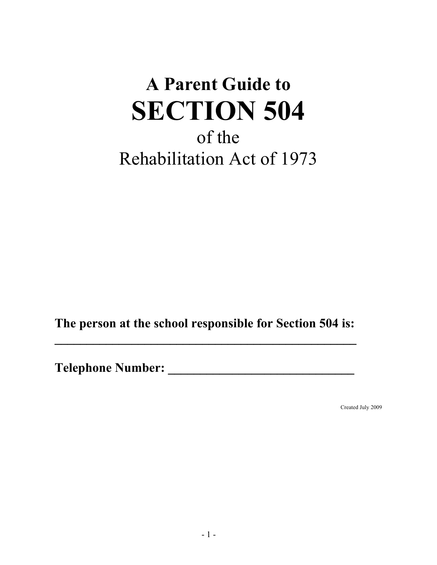# **A Parent Guide to SECTION 504** of the Rehabilitation Act of 1973

**The person at the school responsible for Section 504 is:** 

**\_\_\_\_\_\_\_\_\_\_\_\_\_\_\_\_\_\_\_\_\_\_\_\_\_\_\_\_\_\_\_\_\_\_\_\_\_\_\_\_\_\_\_\_\_\_\_**

**Telephone Number: \_\_\_\_\_\_\_\_\_\_\_\_\_\_\_\_\_\_\_\_\_\_\_\_\_\_\_\_\_**

Created July 2009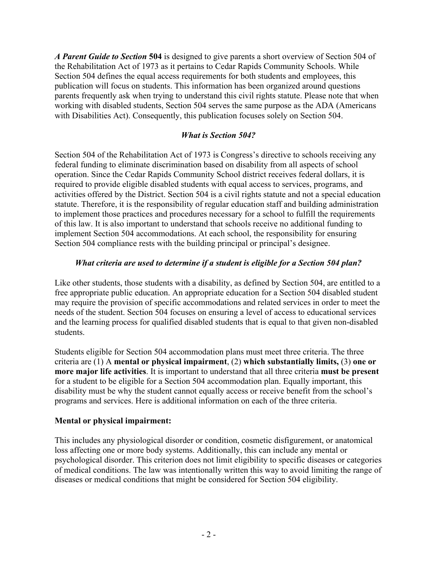*A Parent Guide to Section* **504** is designed to give parents a short overview of Section 504 of the Rehabilitation Act of 1973 as it pertains to Cedar Rapids Community Schools. While Section 504 defines the equal access requirements for both students and employees, this publication will focus on students. This information has been organized around questions parents frequently ask when trying to understand this civil rights statute. Please note that when working with disabled students, Section 504 serves the same purpose as the ADA (Americans with Disabilities Act). Consequently, this publication focuses solely on Section 504.

## *What is Section 504?*

Section 504 of the Rehabilitation Act of 1973 is Congress's directive to schools receiving any federal funding to eliminate discrimination based on disability from all aspects of school operation. Since the Cedar Rapids Community School district receives federal dollars, it is required to provide eligible disabled students with equal access to services, programs, and activities offered by the District. Section 504 is a civil rights statute and not a special education statute. Therefore, it is the responsibility of regular education staff and building administration to implement those practices and procedures necessary for a school to fulfill the requirements of this law. It is also important to understand that schools receive no additional funding to implement Section 504 accommodations. At each school, the responsibility for ensuring Section 504 compliance rests with the building principal or principal's designee.

## *What criteria are used to determine if a student is eligible for a Section 504 plan?*

Like other students, those students with a disability, as defined by Section 504, are entitled to a free appropriate public education. An appropriate education for a Section 504 disabled student may require the provision of specific accommodations and related services in order to meet the needs of the student. Section 504 focuses on ensuring a level of access to educational services and the learning process for qualified disabled students that is equal to that given non-disabled students.

Students eligible for Section 504 accommodation plans must meet three criteria. The three criteria are (1) A **mental or physical impairment**, (2) **which substantially limits,** (3) **one or more major life activities**. It is important to understand that all three criteria **must be present** for a student to be eligible for a Section 504 accommodation plan. Equally important, this disability must be why the student cannot equally access or receive benefit from the school's programs and services. Here is additional information on each of the three criteria.

#### **Mental or physical impairment:**

This includes any physiological disorder or condition, cosmetic disfigurement, or anatomical loss affecting one or more body systems. Additionally, this can include any mental or psychological disorder. This criterion does not limit eligibility to specific diseases or categories of medical conditions. The law was intentionally written this way to avoid limiting the range of diseases or medical conditions that might be considered for Section 504 eligibility.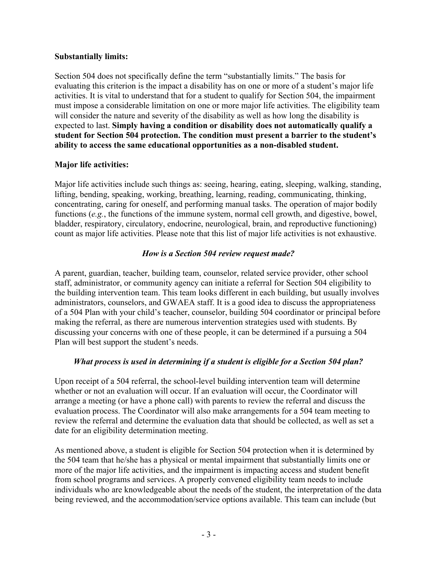#### **Substantially limits:**

Section 504 does not specifically define the term "substantially limits." The basis for evaluating this criterion is the impact a disability has on one or more of a student's major life activities. It is vital to understand that for a student to qualify for Section 504, the impairment must impose a considerable limitation on one or more major life activities. The eligibility team will consider the nature and severity of the disability as well as how long the disability is expected to last. **Simply having a condition or disability does not automatically qualify a student for Section 504 protection. The condition must present a barrier to the student's ability to access the same educational opportunities as a non-disabled student.**

#### **Major life activities:**

Major life activities include such things as: seeing, hearing, eating, sleeping, walking, standing, lifting, bending, speaking, working, breathing, learning, reading, communicating, thinking, concentrating, caring for oneself, and performing manual tasks. The operation of major bodily functions (*e.g.*, the functions of the immune system, normal cell growth, and digestive, bowel, bladder, respiratory, circulatory, endocrine, neurological, brain, and reproductive functioning) count as major life activities. Please note that this list of major life activities is not exhaustive.

#### *How is a Section 504 review request made?*

A parent, guardian, teacher, building team, counselor, related service provider, other school staff, administrator, or community agency can initiate a referral for Section 504 eligibility to the building intervention team. This team looks different in each building, but usually involves administrators, counselors, and GWAEA staff. It is a good idea to discuss the appropriateness of a 504 Plan with your child's teacher, counselor, building 504 coordinator or principal before making the referral, as there are numerous intervention strategies used with students. By discussing your concerns with one of these people, it can be determined if a pursuing a 504 Plan will best support the student's needs.

#### *What process is used in determining if a student is eligible for a Section 504 plan?*

Upon receipt of a 504 referral, the school-level building intervention team will determine whether or not an evaluation will occur. If an evaluation will occur, the Coordinator will arrange a meeting (or have a phone call) with parents to review the referral and discuss the evaluation process. The Coordinator will also make arrangements for a 504 team meeting to review the referral and determine the evaluation data that should be collected, as well as set a date for an eligibility determination meeting.

As mentioned above, a student is eligible for Section 504 protection when it is determined by the 504 team that he/she has a physical or mental impairment that substantially limits one or more of the major life activities, and the impairment is impacting access and student benefit from school programs and services. A properly convened eligibility team needs to include individuals who are knowledgeable about the needs of the student, the interpretation of the data being reviewed, and the accommodation/service options available. This team can include (but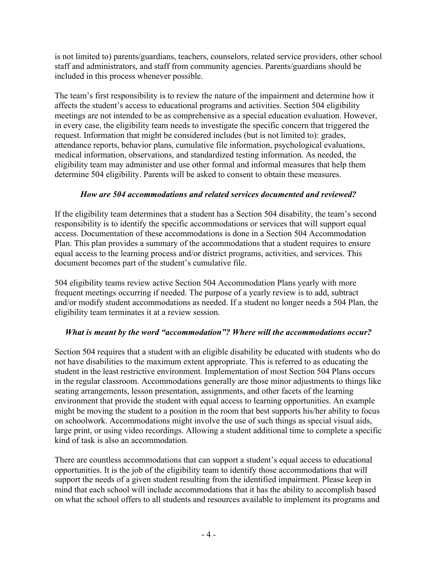is not limited to) parents/guardians, teachers, counselors, related service providers, other school staff and administrators, and staff from community agencies. Parents/guardians should be included in this process whenever possible.

The team's first responsibility is to review the nature of the impairment and determine how it affects the student's access to educational programs and activities. Section 504 eligibility meetings are not intended to be as comprehensive as a special education evaluation. However, in every case, the eligibility team needs to investigate the specific concern that triggered the request. Information that might be considered includes (but is not limited to): grades, attendance reports, behavior plans, cumulative file information, psychological evaluations, medical information, observations, and standardized testing information. As needed, the eligibility team may administer and use other formal and informal measures that help them determine 504 eligibility. Parents will be asked to consent to obtain these measures.

# *How are 504 accommodations and related services documented and reviewed?*

If the eligibility team determines that a student has a Section 504 disability, the team's second responsibility is to identify the specific accommodations or services that will support equal access. Documentation of these accommodations is done in a Section 504 Accommodation Plan. This plan provides a summary of the accommodations that a student requires to ensure equal access to the learning process and/or district programs, activities, and services. This document becomes part of the student's cumulative file.

504 eligibility teams review active Section 504 Accommodation Plans yearly with more frequent meetings occurring if needed. The purpose of a yearly review is to add, subtract and/or modify student accommodations as needed. If a student no longer needs a 504 Plan, the eligibility team terminates it at a review session.

# *What is meant by the word "accommodation"? Where will the accommodations occur?*

Section 504 requires that a student with an eligible disability be educated with students who do not have disabilities to the maximum extent appropriate. This is referred to as educating the student in the least restrictive environment. Implementation of most Section 504 Plans occurs in the regular classroom. Accommodations generally are those minor adjustments to things like seating arrangements, lesson presentation, assignments, and other facets of the learning environment that provide the student with equal access to learning opportunities. An example might be moving the student to a position in the room that best supports his/her ability to focus on schoolwork. Accommodations might involve the use of such things as special visual aids, large print, or using video recordings. Allowing a student additional time to complete a specific kind of task is also an accommodation.

There are countless accommodations that can support a student's equal access to educational opportunities. It is the job of the eligibility team to identify those accommodations that will support the needs of a given student resulting from the identified impairment. Please keep in mind that each school will include accommodations that it has the ability to accomplish based on what the school offers to all students and resources available to implement its programs and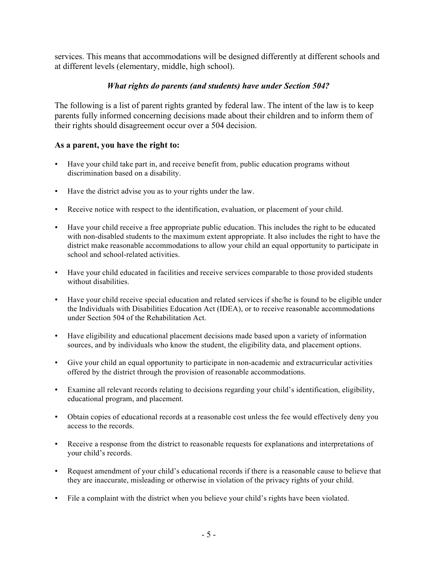services. This means that accommodations will be designed differently at different schools and at different levels (elementary, middle, high school).

## *What rights do parents (and students) have under Section 504?*

The following is a list of parent rights granted by federal law. The intent of the law is to keep parents fully informed concerning decisions made about their children and to inform them of their rights should disagreement occur over a 504 decision.

#### **As a parent, you have the right to:**

- Have your child take part in, and receive benefit from, public education programs without discrimination based on a disability.
- Have the district advise you as to your rights under the law.
- Receive notice with respect to the identification, evaluation, or placement of your child.
- Have your child receive a free appropriate public education. This includes the right to be educated with non-disabled students to the maximum extent appropriate. It also includes the right to have the district make reasonable accommodations to allow your child an equal opportunity to participate in school and school-related activities.
- Have your child educated in facilities and receive services comparable to those provided students without disabilities.
- Have your child receive special education and related services if she/he is found to be eligible under the Individuals with Disabilities Education Act (IDEA), or to receive reasonable accommodations under Section 504 of the Rehabilitation Act.
- Have eligibility and educational placement decisions made based upon a variety of information sources, and by individuals who know the student, the eligibility data, and placement options.
- Give your child an equal opportunity to participate in non-academic and extracurricular activities offered by the district through the provision of reasonable accommodations.
- Examine all relevant records relating to decisions regarding your child's identification, eligibility, educational program, and placement.
- Obtain copies of educational records at a reasonable cost unless the fee would effectively deny you access to the records.
- Receive a response from the district to reasonable requests for explanations and interpretations of your child's records.
- Request amendment of your child's educational records if there is a reasonable cause to believe that they are inaccurate, misleading or otherwise in violation of the privacy rights of your child.
- File a complaint with the district when you believe your child's rights have been violated.